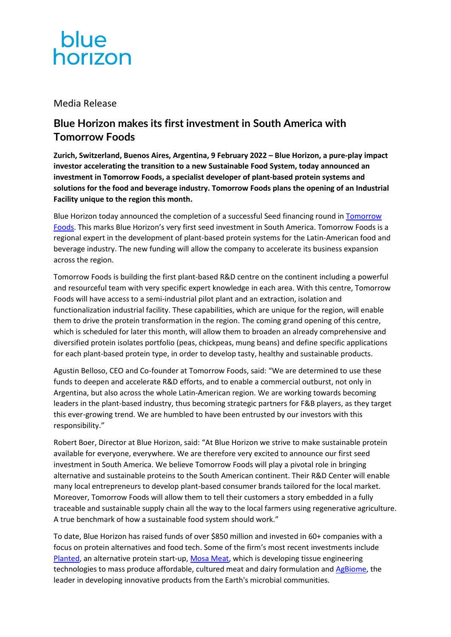

## Media Release

# **Blue Horizon makes its first investment in South America with Tomorrow Foods**

**Zurich, Switzerland, Buenos Aires, Argentina, 9 February 2022 – Blue Horizon, a pure-play impact investor accelerating the transition to a new Sustainable Food System, today announced an investment in Tomorrow Foods, a specialist developer of plant-based protein systems and solutions for the food and beverage industry. Tomorrow Foods plans the opening of an Industrial Facility unique to the region this month.**

Blue Horizon today announced the completion of a successful Seed financing round in **Tomorrow** [Foods.](https://www.tomorrowfoods.com.ar/) This marks Blue Horizon's very first seed investment in South America. Tomorrow Foods is a regional expert in the development of plant-based protein systems for the Latin-American food and beverage industry. The new funding will allow the company to accelerate its business expansion across the region.

Tomorrow Foods is building the first plant-based R&D centre on the continent including a powerful and resourceful team with very specific expert knowledge in each area. With this centre, Tomorrow Foods will have access to a semi-industrial pilot plant and an extraction, isolation and functionalization industrial facility. These capabilities, which are unique for the region, will enable them to drive the protein transformation in the region. The coming grand opening of this centre, which is scheduled for later this month, will allow them to broaden an already comprehensive and diversified protein isolates portfolio (peas, chickpeas, mung beans) and define specific applications for each plant-based protein type, in order to develop tasty, healthy and sustainable products.

Agustin Belloso, CEO and Co-founder at Tomorrow Foods, said: "We are determined to use these funds to deepen and accelerate R&D efforts, and to enable a commercial outburst, not only in Argentina, but also across the whole Latin-American region. We are working towards becoming leaders in the plant-based industry, thus becoming strategic partners for F&B players, as they target this ever-growing trend. We are humbled to have been entrusted by our investors with this responsibility."

Robert Boer, Director at Blue Horizon, said: "At Blue Horizon we strive to make sustainable protein available for everyone, everywhere. We are therefore very excited to announce our first seed investment in South America. We believe Tomorrow Foods will play a pivotal role in bringing alternative and sustainable proteins to the South American continent. Their R&D Center will enable many local entrepreneurs to develop plant-based consumer brands tailored for the local market. Moreover, Tomorrow Foods will allow them to tell their customers a story embedded in a fully traceable and sustainable supply chain all the way to the local farmers using regenerative agriculture. A true benchmark of how a sustainable food system should work."

To date, Blue Horizon has raised funds of over \$850 million and invested in 60+ companies with a focus on protein alternatives and food tech. Some of the firm's most recent investments include [Planted,](https://en.eatplanted.com/) an alternative protein start-up, [Mosa Meat,](https://mosameat.com/) which is developing tissue engineering technologies to mass produce affordable, cultured meat and dairy formulation and [AgBiome,](https://www.agbiome.com/) the leader in developing innovative products from the Earth's microbial communities.